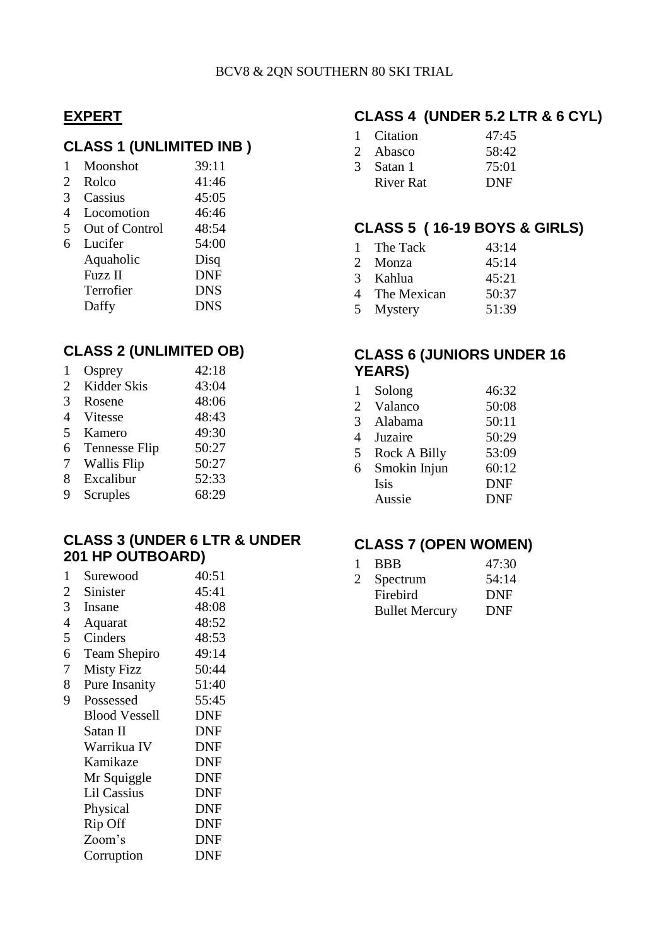#### **EXPERT**

## **CLASS 1 (UNLIMITED INB )**

| $\mathbf{1}$ | Moonshot       | 39:11      |
|--------------|----------------|------------|
| 2            | Rolco          | 41:46      |
| 3            | Cassius        | 45:05      |
| 4            | Locomotion     | 46:46      |
| 5            | Out of Control | 48:54      |
| 6            | Lucifer        | 54:00      |
|              | Aquaholic      | Disq       |
|              | <b>Fuzz</b> II | <b>DNF</b> |
|              | Terrofier      | <b>DNS</b> |

### **CLASS 2 (UNLIMITED OB)**

Daffy DNS

| 1                        | Osprey               | 42:18 |
|--------------------------|----------------------|-------|
| 2                        | Kidder Skis          | 43:04 |
| 3                        | Rosene               | 48:06 |
| 4                        | Vitesse              | 48:43 |
| $\overline{\mathcal{L}}$ | Kamero               | 49:30 |
| 6                        | <b>Tennesse Flip</b> | 50:27 |
| 7                        | <b>Wallis Flip</b>   | 50:27 |
| 8                        | Excalibur            | 52:33 |
| 9                        | Scruples             | 68:29 |
|                          |                      |       |

### **CLASS 3 (UNDER 6 LTR & UNDER 201 HP OUTBOARD)**

| 1              | Surewood             | 40:51      |
|----------------|----------------------|------------|
| 2              | Sinister             | 45:41      |
| 3              | Insane               | 48:08      |
| $\overline{4}$ | Aquarat              | 48:52      |
| 5              | Cinders              | 48:53      |
| 6              | Team Shepiro         | 49:14      |
| 7              | <b>Misty Fizz</b>    | 50:44      |
| 8              | Pure Insanity        | 51:40      |
| 9              | Possessed            | 55:45      |
|                | <b>Blood Vessell</b> | <b>DNF</b> |
|                | Satan II             | <b>DNF</b> |
|                | Warrikua IV          | <b>DNF</b> |
|                | Kamikaze             | <b>DNF</b> |
|                | Mr Squiggle          | <b>DNF</b> |
|                | <b>Lil Cassius</b>   | <b>DNF</b> |
|                | Physical             | <b>DNF</b> |
|                | Rip Off              | DNF        |
|                | Zoom's               | DNF        |
|                | Corruption           | DNF        |
|                |                      |            |

# **CLASS 4 (UNDER 5.2 LTR & 6 CYL)**

|   | Citation  | 47:45      |
|---|-----------|------------|
|   | 2 Abasco  | 58:42      |
| 3 | Satan 1   | 75:01      |
|   | River Rat | <b>DNF</b> |

### **CLASS 5 ( 16-19 BOYS & GIRLS)**

|               | 1 The Tack    | 43:14 |
|---------------|---------------|-------|
|               | 2 Monza       | 45:14 |
| $\mathcal{R}$ | Kahlua        | 45:21 |
|               | 4 The Mexican | 50:37 |
|               | 5 Mystery     | 51:39 |

### **CLASS 6 (JUNIORS UNDER 16 YEARS)**

| 1 | Solong       | 46:32      |
|---|--------------|------------|
| 2 | Valanco      | 50:08      |
| 3 | Alabama      | 50:11      |
| 4 | Juzaire      | 50:29      |
| 5 | Rock A Billy | 53:09      |
| 6 | Smokin Injun | 60:12      |
|   | Isis         | <b>DNF</b> |
|   | Aussie       | <b>DNF</b> |

# **CLASS 7 (OPEN WOMEN)**

| 1 | <b>BBB</b>            | 47:30      |
|---|-----------------------|------------|
| 2 | Spectrum              | 54:14      |
|   | Firebird              | <b>DNF</b> |
|   | <b>Bullet Mercury</b> | DNF        |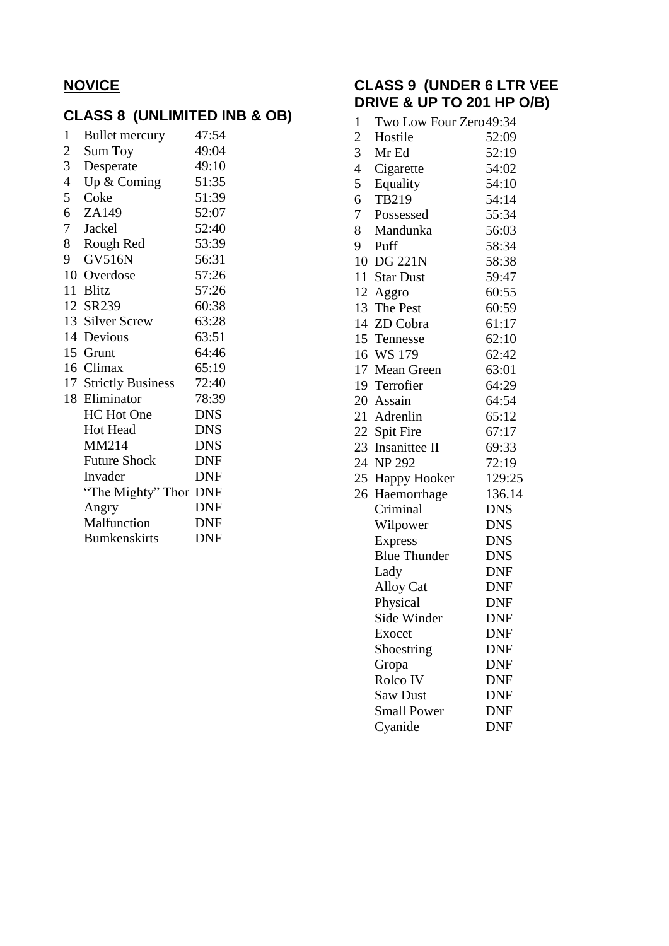# **NOVICE**

# **CLASS 8 (UNLIMITED INB & OB)**

| $\mathbf{1}$   | <b>Bullet mercury</b> | 47:54      |
|----------------|-----------------------|------------|
| $\overline{c}$ | Sum Toy               | 49:04      |
| 3              | Desperate             | 49:10      |
| $\overline{4}$ | Up $&$ Coming         | 51:35      |
| 5              | Coke                  | 51:39      |
| 6              | ZA149                 | 52:07      |
| 7              | Jackel                | 52:40      |
| 8              | Rough Red             | 53:39      |
| 9              | <b>GV516N</b>         | 56:31      |
|                | 10 Overdose           | 57:26      |
|                | 11 Blitz              | 57:26      |
|                | 12 SR239              | 60:38      |
|                | 13 Silver Screw       | 63:28      |
|                | 14 Devious            | 63:51      |
|                | 15 Grunt              | 64:46      |
|                | 16 Climax             | 65:19      |
|                | 17 Strictly Business  | 72:40      |
|                | 18 Eliminator         | 78:39      |
|                | <b>HC</b> Hot One     | <b>DNS</b> |
|                | Hot Head              | <b>DNS</b> |
|                | MM214                 | <b>DNS</b> |
|                | <b>Future Shock</b>   | <b>DNF</b> |
|                | Invader               | <b>DNF</b> |
|                | "The Mighty" Thor DNF |            |
|                | Angry                 | <b>DNF</b> |
|                | Malfunction           | <b>DNF</b> |
|                | <b>Bumkenskirts</b>   | <b>DNF</b> |

## **CLASS 9 (UNDER 6 LTR VEE DRIVE & UP TO 201 HP O/B)**

| 1              | Two Low Four Zero49:34 |            |
|----------------|------------------------|------------|
| $\overline{c}$ | Hostile                | 52:09      |
| 3              | Mr Ed                  | 52:19      |
| $\overline{4}$ | Cigarette              | 54:02      |
| 5              | Equality               | 54:10      |
| 6              | TB219                  | 54:14      |
| 7              | Possessed              | 55:34      |
| 8              | Mandunka               | 56:03      |
| 9              | Puff                   | 58:34      |
|                | 10 DG 221N             | 58:38      |
|                | 11 Star Dust           | 59:47      |
|                | 12 Aggro               | 60:55      |
|                | 13 The Pest            | 60:59      |
|                | 14 ZD Cobra            | 61:17      |
|                | 15 Tennesse            | 62:10      |
|                | 16 WS 179              | 62:42      |
|                | 17 Mean Green          | 63:01      |
|                | 19 Terrofier           | 64:29      |
|                | 20 Assain              | 64:54      |
|                | 21 Adrenlin            | 65:12      |
|                | 22 Spit Fire           | 67:17      |
|                | 23 Insanittee II       | 69:33      |
|                | 24 NP 292              | 72:19      |
| 25             | <b>Happy Hooker</b>    | 129:25     |
|                | 26 Haemorrhage         | 136.14     |
|                | Criminal               | <b>DNS</b> |
|                | Wilpower               | <b>DNS</b> |
|                | <b>Express</b>         | <b>DNS</b> |
|                | <b>Blue Thunder</b>    | <b>DNS</b> |
|                | Lady                   | <b>DNF</b> |
|                | <b>Alloy Cat</b>       | <b>DNF</b> |
|                | Physical               | <b>DNF</b> |
|                | Side Winder            | <b>DNF</b> |
|                | Exocet                 | DNF        |
|                | Shoestring             | <b>DNF</b> |
|                | Gropa                  | <b>DNF</b> |
|                | Rolco IV               | <b>DNF</b> |
|                | <b>Saw Dust</b>        | <b>DNF</b> |
|                | <b>Small Power</b>     | <b>DNF</b> |
|                | Cyanide                | <b>DNF</b> |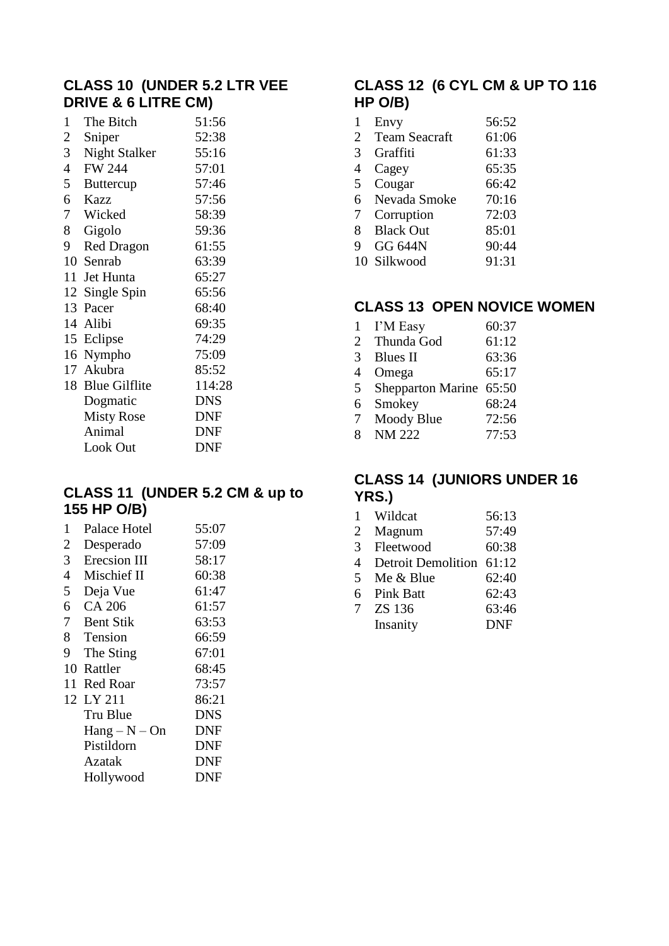## **CLASS 10 (UNDER 5.2 LTR VEE DRIVE & 6 LITRE CM)**

| 1              | The Bitch            | 51:56      |
|----------------|----------------------|------------|
| 2              | Sniper               | 52:38      |
| 3 <sup>7</sup> | <b>Night Stalker</b> | 55:16      |
| $\overline{4}$ | <b>FW 244</b>        | 57:01      |
| 5              | <b>Buttercup</b>     | 57:46      |
| 6              | Kazz                 | 57:56      |
|                | 7 Wicked             | 58:39      |
| 8              | Gigolo               | 59:36      |
| 9              | <b>Red Dragon</b>    | 61:55      |
|                | 10 Senrab            | 63:39      |
|                | 11 Jet Hunta         | 65:27      |
|                | 12 Single Spin       | 65:56      |
|                | 13 Pacer             | 68:40      |
|                | 14 Alibi             | 69:35      |
|                | 15 Eclipse           | 74:29      |
|                | 16 Nympho            | 75:09      |
|                | 17 Akubra            | 85:52      |
|                | 18 Blue Gilflite     | 114:28     |
|                | Dogmatic             | <b>DNS</b> |
|                | <b>Misty Rose</b>    | <b>DNF</b> |
|                | Animal               | <b>DNF</b> |
|                | Look Out             | <b>DNF</b> |

## **CLASS 11 (UNDER 5.2 CM & up to 155 HP O/B)**

| 1  | Palace Hotel                         | 55:07      |
|----|--------------------------------------|------------|
| 2  | Desperado                            | 57:09      |
| 3  | Erecsion III                         | 58:17      |
| 4  | Mischief II                          | 60:38      |
| 5  | Deja Vue                             | 61:47      |
| 6  | CA 206                               | 61:57      |
| 7  | <b>Bent Stik</b>                     | 63:53      |
| 8  | Tension                              | 66:59      |
| 9  | The Sting                            | 67:01      |
|    | 10 Rattler                           | 68:45      |
| 11 | Red Roar                             | 73:57      |
|    | 12 LY 211                            | 86:21      |
|    | Tru Blue                             | DNS        |
|    | $\text{Hang} - \text{N} - \text{On}$ | DNF        |
|    | Pistildorn                           | <b>DNF</b> |
|    | Azatak                               | <b>DNF</b> |
|    | Hollywood                            | DNF        |
|    |                                      |            |

# **CLASS 12 (6 CYL CM & UP TO 116 HP O/B)**

| 1 | Envy                 | 56:52 |
|---|----------------------|-------|
| 2 | <b>Team Seacraft</b> | 61:06 |
| 3 | Graffiti             | 61:33 |
| 4 | Cagey                | 65:35 |
| 5 | Cougar               | 66:42 |
| 6 | Nevada Smoke         | 70:16 |
| 7 | Corruption           | 72:03 |
| 8 | <b>Black Out</b>     | 85:01 |
| 9 | <b>GG 644N</b>       | 90:44 |
|   | 10 Silkwood          | 91:31 |

## **CLASS 13 OPEN NOVICE WOMEN**

| $\mathbf{1}$   | I'M Easy                    | 60:37 |
|----------------|-----------------------------|-------|
| 2              | Thunda God                  | 61:12 |
| 3              | Blues II                    | 63:36 |
| $\overline{4}$ | Omega                       | 65:17 |
| 5              | Shepparton Marine 65:50     |       |
| 6              | Smokey                      | 68:24 |
| 7              |                             | 72:56 |
| 8              | Moody Blue<br><b>NM 222</b> |       |
|                |                             | 77:53 |

## **CLASS 14 (JUNIORS UNDER 16 YRS.)**

| 1              | Wildcat                   | 56:13      |
|----------------|---------------------------|------------|
| 2              | Magnum                    | 57:49      |
| $\mathfrak{Z}$ | Fleetwood                 | 60:38      |
| 4              | <b>Detroit Demolition</b> | 61:12      |
| 5              | Me & Blue                 | 62:40      |
|                | 6 Pink Batt               | 62:43      |
| 7              | ZS 136                    | 63:46      |
|                | Insanity                  | <b>DNF</b> |